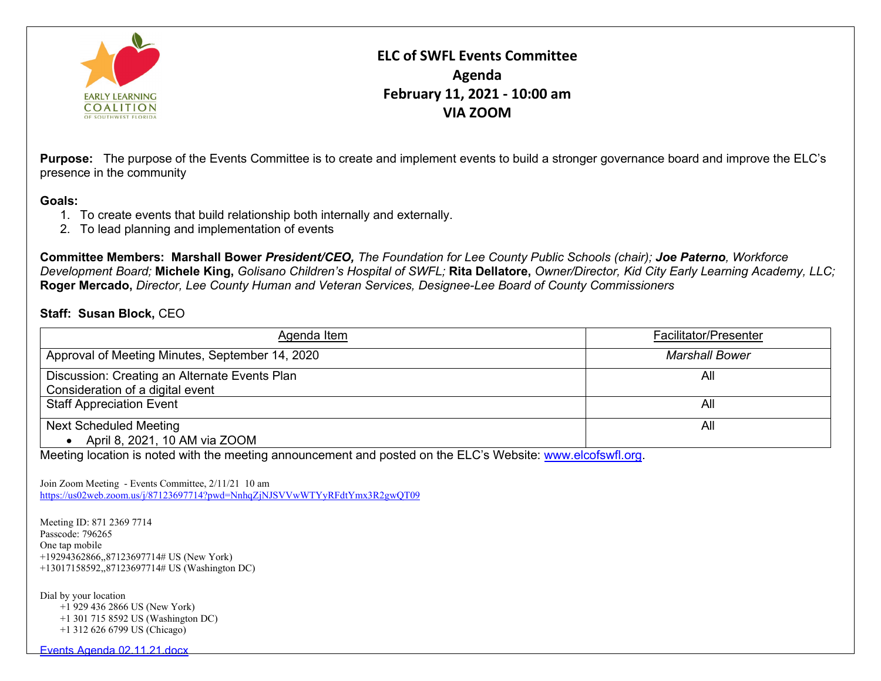

## **ELC of SWFL Events Committee Agenda February 11, 2021 - 10:00 am VIA ZOOM**

**Purpose:** The purpose of the Events Committee is to create and implement events to build a stronger governance board and improve the ELC's presence in the community

## **Goals:**

- 1. To create events that build relationship both internally and externally.
- 2. To lead planning and implementation of events

**Committee Members: Marshall Bower** *President/CEO, The Foundation for Lee County Public Schools (chair); Joe Paterno, Workforce Development Board;* **Michele King,** *Golisano Children's Hospital of SWFL;* **Rita Dellatore,** *Owner/Director, Kid City Early Learning Academy, LLC;* **Roger Mercado,** *Director, Lee County Human and Veteran Services, Designee-Lee Board of County Commissioners*

## **Staff: Susan Block,** CEO

| Agenda Item                                                                       | <b>Facilitator/Presenter</b> |
|-----------------------------------------------------------------------------------|------------------------------|
| Approval of Meeting Minutes, September 14, 2020                                   | <b>Marshall Bower</b>        |
| Discussion: Creating an Alternate Events Plan<br>Consideration of a digital event | All                          |
| <b>Staff Appreciation Event</b>                                                   | All                          |
| <b>Next Scheduled Meeting</b>                                                     | All                          |
| April 8, 2021, 10 AM via ZOOM                                                     |                              |

Meeting location is noted with the meeting announcement and posted on the ELC's Website: [www.elcofswfl.org.](http://www.elcofswfl.org/)

Join Zoom Meeting - Events Committee, 2/11/21 10 am <https://us02web.zoom.us/j/87123697714?pwd=NnhqZjNJSVVwWTYyRFdtYmx3R2gwQT09>

Meeting ID: 871 2369 7714 Passcode: 796265 One tap mobile +19294362866,,87123697714# US (New York) +13017158592,,87123697714# US (Washington DC)

Dial by your location

 +1 929 436 2866 US (New York) +1 301 715 8592 US (Washington DC) +1 312 626 6799 US (Chicago)